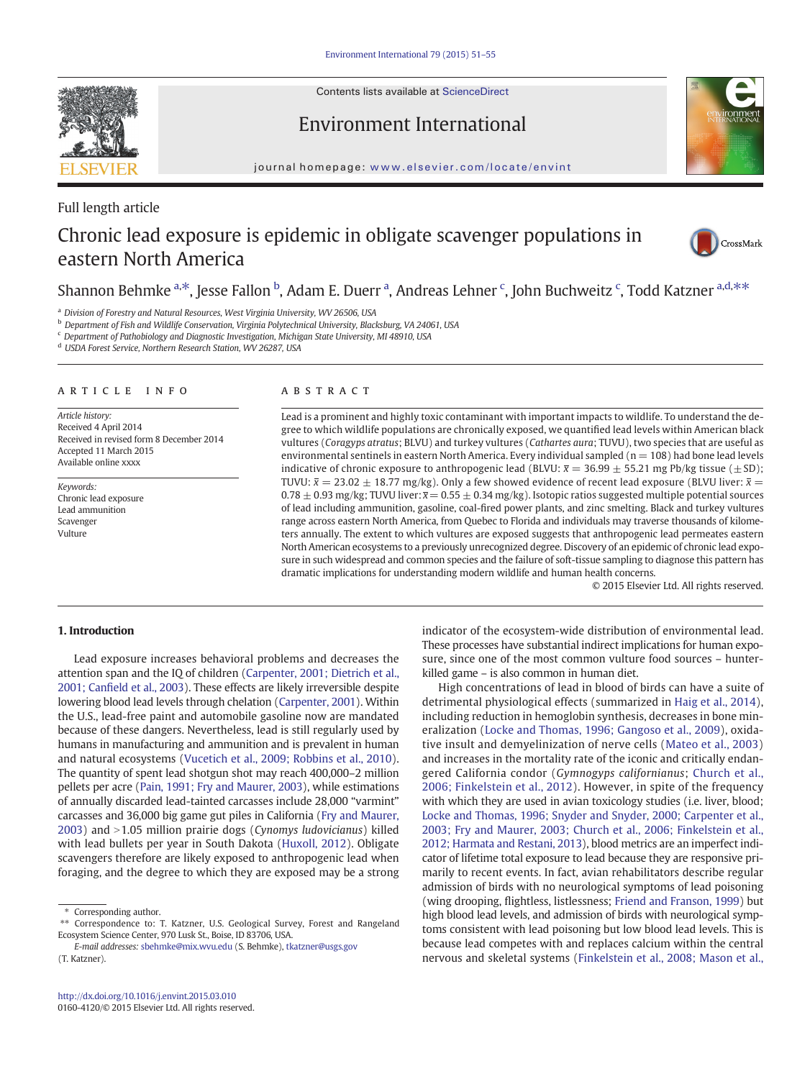Contents lists available at ScienceDirect



Environment International



journal homepage: <www.elsevier.com/locate/envint>

### Full length article

# Chronic lead exposure is epidemic in obligate scavenger populations in eastern North America



## Shannon Behmke <sup>a,\*</sup>, Jesse Fallon <sup>b</sup>, Adam E. Duerr <sup>a</sup>, Andreas Lehner <sup>c</sup>, John Buchweitz <sup>c</sup>, Todd Katzner <sup>a,d,\*\*</sup>

<sup>a</sup> Division of Forestry and Natural Resources, West Virginia University, WV 26506, USA

<sup>b</sup> Department of Fish and Wildlife Conservation, Virginia Polytechnical University, Blacksburg, VA 24061, USA

<sup>c</sup> Department of Pathobiology and Diagnostic Investigation, Michigan State University, MI 48910, USA

<sup>d</sup> USDA Forest Service, Northern Research Station, WV 26287, USA

#### article info abstract

Article history: Received 4 April 2014 Received in revised form 8 December 2014 Accepted 11 March 2015 Available online xxxx

Keywords: Chronic lead exposure Lead ammunition Scavenger Vulture

Lead is a prominent and highly toxic contaminant with important impacts to wildlife. To understand the degree to which wildlife populations are chronically exposed, we quantified lead levels within American black vultures (Coragyps atratus; BLVU) and turkey vultures (Cathartes aura; TUVU), two species that are useful as environmental sentinels in eastern North America. Every individual sampled ( $n = 108$ ) had bone lead levels indicative of chronic exposure to anthropogenic lead (BLVU:  $\bar{x} = 36.99 \pm 55.21$  mg Pb/kg tissue ( $\pm$  SD); TUVU:  $\bar{x} = 23.02 \pm 18.77$  mg/kg). Only a few showed evidence of recent lead exposure (BLVU liver:  $\bar{x} =$  $0.78 \pm 0.93$  mg/kg; TUVU liver:  $\overline{x}$  = 0.55  $\pm$  0.34 mg/kg). Isotopic ratios suggested multiple potential sources of lead including ammunition, gasoline, coal-fired power plants, and zinc smelting. Black and turkey vultures range across eastern North America, from Quebec to Florida and individuals may traverse thousands of kilometers annually. The extent to which vultures are exposed suggests that anthropogenic lead permeates eastern North American ecosystems to a previously unrecognized degree. Discovery of an epidemic of chronic lead exposure in such widespread and common species and the failure of soft-tissue sampling to diagnose this pattern has dramatic implications for understanding modern wildlife and human health concerns.

© 2015 Elsevier Ltd. All rights reserved.

### 1. Introduction

Lead exposure increases behavioral problems and decreases the attention span and the IQ of children [\(Carpenter, 2001; Dietrich et al.,](#page-4-0) 2001; Canfi[eld et al., 2003](#page-4-0)). These effects are likely irreversible despite lowering blood lead levels through chelation [\(Carpenter, 2001\)](#page-4-0). Within the U.S., lead-free paint and automobile gasoline now are mandated because of these dangers. Nevertheless, lead is still regularly used by humans in manufacturing and ammunition and is prevalent in human and natural ecosystems [\(Vucetich et al., 2009; Robbins et al., 2010](#page-4-0)). The quantity of spent lead shotgun shot may reach 400,000–2 million pellets per acre [\(Pain, 1991; Fry and Maurer, 2003](#page-4-0)), while estimations of annually discarded lead-tainted carcasses include 28,000 "varmint" carcasses and 36,000 big game gut piles in California [\(Fry and Maurer,](#page-4-0)  $2003$ ) and  $>1.05$  million prairie dogs (Cynomys ludovicianus) killed with lead bullets per year in South Dakota [\(Huxoll, 2012\)](#page-4-0). Obligate scavengers therefore are likely exposed to anthropogenic lead when foraging, and the degree to which they are exposed may be a strong

E-mail addresses: [sbehmke@mix.wvu.edu](mailto:sbehmke@mix.wvu.edu) (S. Behmke), [tkatzner@usgs.gov](mailto:tkatzner@usgs.gov) (T. Katzner).

indicator of the ecosystem-wide distribution of environmental lead. These processes have substantial indirect implications for human exposure, since one of the most common vulture food sources – hunterkilled game – is also common in human diet.

High concentrations of lead in blood of birds can have a suite of detrimental physiological effects (summarized in [Haig et al., 2014](#page-4-0)), including reduction in hemoglobin synthesis, decreases in bone mineralization ([Locke and Thomas, 1996; Gangoso et al., 2009\)](#page-4-0), oxidative insult and demyelinization of nerve cells ([Mateo et al., 2003](#page-4-0)) and increases in the mortality rate of the iconic and critically endangered California condor (Gymnogyps californianus; [Church et al.,](#page-4-0) [2006; Finkelstein et al., 2012](#page-4-0)). However, in spite of the frequency with which they are used in avian toxicology studies (i.e. liver, blood; [Locke and Thomas, 1996; Snyder and Snyder, 2000; Carpenter et al.,](#page-4-0) [2003; Fry and Maurer, 2003; Church et al., 2006; Finkelstein et al.,](#page-4-0) [2012; Harmata and Restani, 2013\)](#page-4-0), blood metrics are an imperfect indicator of lifetime total exposure to lead because they are responsive primarily to recent events. In fact, avian rehabilitators describe regular admission of birds with no neurological symptoms of lead poisoning (wing drooping, flightless, listlessness; [Friend and Franson, 1999\)](#page-4-0) but high blood lead levels, and admission of birds with neurological symptoms consistent with lead poisoning but low blood lead levels. This is because lead competes with and replaces calcium within the central nervous and skeletal systems [\(Finkelstein et al., 2008; Mason et al.,](#page-4-0)

Corresponding author.

<sup>⁎⁎</sup> Correspondence to: T. Katzner, U.S. Geological Survey, Forest and Rangeland Ecosystem Science Center, 970 Lusk St., Boise, ID 83706, USA.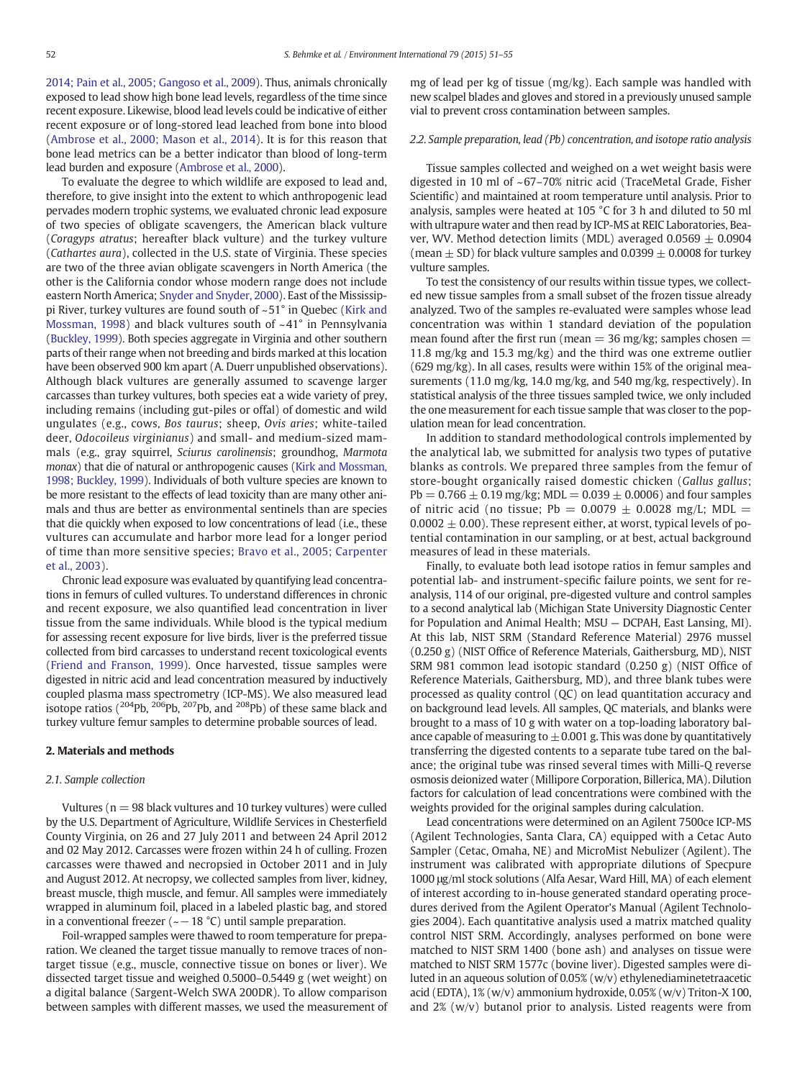[2014; Pain et al., 2005; Gangoso et al., 2009\)](#page-4-0). Thus, animals chronically exposed to lead show high bone lead levels, regardless of the time since recent exposure. Likewise, blood lead levels could be indicative of either recent exposure or of long-stored lead leached from bone into blood [\(Ambrose et al., 2000; Mason et al., 2014](#page-4-0)). It is for this reason that bone lead metrics can be a better indicator than blood of long-term lead burden and exposure [\(Ambrose et al., 2000\)](#page-4-0).

To evaluate the degree to which wildlife are exposed to lead and, therefore, to give insight into the extent to which anthropogenic lead pervades modern trophic systems, we evaluated chronic lead exposure of two species of obligate scavengers, the American black vulture (Coragyps atratus; hereafter black vulture) and the turkey vulture (Cathartes aura), collected in the U.S. state of Virginia. These species are two of the three avian obligate scavengers in North America (the other is the California condor whose modern range does not include eastern North America; [Snyder and Snyder, 2000\)](#page-4-0). East of the Mississippi River, turkey vultures are found south of ~51° in Quebec ([Kirk and](#page-4-0) [Mossman, 1998](#page-4-0)) and black vultures south of ~41° in Pennsylvania [\(Buckley, 1999\)](#page-4-0). Both species aggregate in Virginia and other southern parts of their range when not breeding and birds marked at this location have been observed 900 km apart (A. Duerr unpublished observations). Although black vultures are generally assumed to scavenge larger carcasses than turkey vultures, both species eat a wide variety of prey, including remains (including gut-piles or offal) of domestic and wild ungulates (e.g., cows, Bos taurus; sheep, Ovis aries; white-tailed deer, Odocoileus virginianus) and small- and medium-sized mammals (e.g., gray squirrel, Sciurus carolinensis; groundhog, Marmota monax) that die of natural or anthropogenic causes [\(Kirk and Mossman,](#page-4-0) [1998; Buckley, 1999\)](#page-4-0). Individuals of both vulture species are known to be more resistant to the effects of lead toxicity than are many other animals and thus are better as environmental sentinels than are species that die quickly when exposed to low concentrations of lead (i.e., these vultures can accumulate and harbor more lead for a longer period of time than more sensitive species; [Bravo et al., 2005; Carpenter](#page-4-0) [et al., 2003](#page-4-0)).

Chronic lead exposure was evaluated by quantifying lead concentrations in femurs of culled vultures. To understand differences in chronic and recent exposure, we also quantified lead concentration in liver tissue from the same individuals. While blood is the typical medium for assessing recent exposure for live birds, liver is the preferred tissue collected from bird carcasses to understand recent toxicological events [\(Friend and Franson, 1999\)](#page-4-0). Once harvested, tissue samples were digested in nitric acid and lead concentration measured by inductively coupled plasma mass spectrometry (ICP-MS). We also measured lead isotope ratios  $(204Pb, 206Pb, 207Pb,$  and  $208Pb)$  of these same black and turkey vulture femur samples to determine probable sources of lead.

#### 2. Materials and methods

#### 2.1. Sample collection

Vultures ( $n = 98$  black vultures and 10 turkey vultures) were culled by the U.S. Department of Agriculture, Wildlife Services in Chesterfield County Virginia, on 26 and 27 July 2011 and between 24 April 2012 and 02 May 2012. Carcasses were frozen within 24 h of culling. Frozen carcasses were thawed and necropsied in October 2011 and in July and August 2012. At necropsy, we collected samples from liver, kidney, breast muscle, thigh muscle, and femur. All samples were immediately wrapped in aluminum foil, placed in a labeled plastic bag, and stored in a conventional freezer ( $\sim$  - 18 °C) until sample preparation.

Foil-wrapped samples were thawed to room temperature for preparation. We cleaned the target tissue manually to remove traces of nontarget tissue (e.g., muscle, connective tissue on bones or liver). We dissected target tissue and weighed 0.5000–0.5449 g (wet weight) on a digital balance (Sargent-Welch SWA 200DR). To allow comparison between samples with different masses, we used the measurement of mg of lead per kg of tissue (mg/kg). Each sample was handled with new scalpel blades and gloves and stored in a previously unused sample vial to prevent cross contamination between samples.

#### 2.2. Sample preparation, lead (Pb) concentration, and isotope ratio analysis

Tissue samples collected and weighed on a wet weight basis were digested in 10 ml of ~67–70% nitric acid (TraceMetal Grade, Fisher Scientific) and maintained at room temperature until analysis. Prior to analysis, samples were heated at 105 °C for 3 h and diluted to 50 ml with ultrapure water and then read by ICP-MS at REIC Laboratories, Beaver, WV. Method detection limits (MDL) averaged  $0.0569 \pm 0.0904$ (mean  $\pm$  SD) for black vulture samples and 0.0399  $\pm$  0.0008 for turkey vulture samples.

To test the consistency of our results within tissue types, we collected new tissue samples from a small subset of the frozen tissue already analyzed. Two of the samples re-evaluated were samples whose lead concentration was within 1 standard deviation of the population mean found after the first run (mean  $=$  36 mg/kg; samples chosen  $=$ 11.8 mg/kg and 15.3 mg/kg) and the third was one extreme outlier (629 mg/kg). In all cases, results were within 15% of the original measurements (11.0 mg/kg, 14.0 mg/kg, and 540 mg/kg, respectively). In statistical analysis of the three tissues sampled twice, we only included the one measurement for each tissue sample that was closer to the population mean for lead concentration.

In addition to standard methodological controls implemented by the analytical lab, we submitted for analysis two types of putative blanks as controls. We prepared three samples from the femur of store-bought organically raised domestic chicken (Gallus gallus;  $Pb = 0.766 \pm 0.19$  mg/kg; MDL = 0.039  $\pm$  0.0006) and four samples of nitric acid (no tissue; Pb =  $0.0079 \pm 0.0028$  mg/L; MDL = 0.0002  $\pm$  0.00). These represent either, at worst, typical levels of potential contamination in our sampling, or at best, actual background measures of lead in these materials.

Finally, to evaluate both lead isotope ratios in femur samples and potential lab- and instrument-specific failure points, we sent for reanalysis, 114 of our original, pre-digested vulture and control samples to a second analytical lab (Michigan State University Diagnostic Center for Population and Animal Health; MSU — DCPAH, East Lansing, MI). At this lab, NIST SRM (Standard Reference Material) 2976 mussel (0.250 g) (NIST Office of Reference Materials, Gaithersburg, MD), NIST SRM 981 common lead isotopic standard (0.250 g) (NIST Office of Reference Materials, Gaithersburg, MD), and three blank tubes were processed as quality control (QC) on lead quantitation accuracy and on background lead levels. All samples, QC materials, and blanks were brought to a mass of 10 g with water on a top-loading laboratory balance capable of measuring to  $\pm$  0.001 g. This was done by quantitatively transferring the digested contents to a separate tube tared on the balance; the original tube was rinsed several times with Milli-Q reverse osmosis deionized water (Millipore Corporation, Billerica, MA). Dilution factors for calculation of lead concentrations were combined with the weights provided for the original samples during calculation.

Lead concentrations were determined on an Agilent 7500ce ICP-MS (Agilent Technologies, Santa Clara, CA) equipped with a Cetac Auto Sampler (Cetac, Omaha, NE) and MicroMist Nebulizer (Agilent). The instrument was calibrated with appropriate dilutions of Specpure 1000 μg/ml stock solutions (Alfa Aesar, Ward Hill, MA) of each element of interest according to in-house generated standard operating procedures derived from the Agilent Operator's Manual (Agilent Technologies 2004). Each quantitative analysis used a matrix matched quality control NIST SRM. Accordingly, analyses performed on bone were matched to NIST SRM 1400 (bone ash) and analyses on tissue were matched to NIST SRM 1577c (bovine liver). Digested samples were diluted in an aqueous solution of 0.05% (w/v) ethylenediaminetetraacetic acid (EDTA), 1% (w/v) ammonium hydroxide, 0.05% (w/v) Triton-X 100, and 2% (w/v) butanol prior to analysis. Listed reagents were from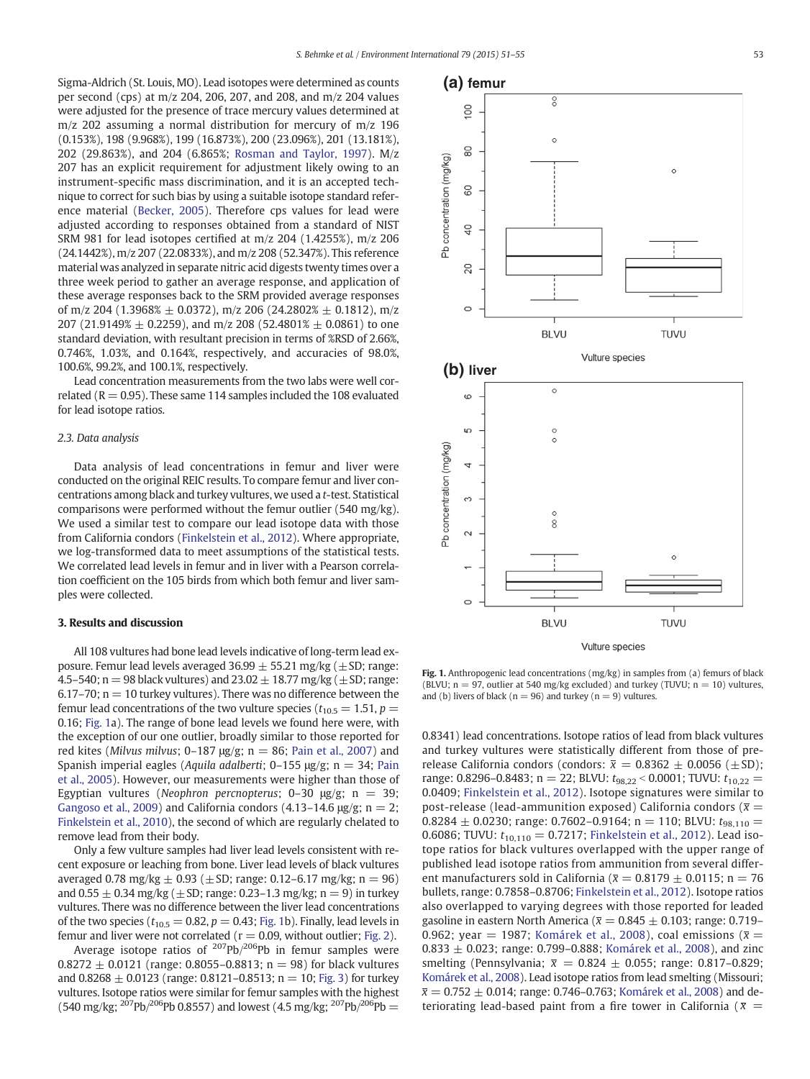Sigma-Aldrich (St. Louis, MO). Lead isotopes were determined as counts per second (cps) at m/z 204, 206, 207, and 208, and m/z 204 values were adjusted for the presence of trace mercury values determined at m/z 202 assuming a normal distribution for mercury of m/z 196 (0.153%), 198 (9.968%), 199 (16.873%), 200 (23.096%), 201 (13.181%), 202 (29.863%), and 204 (6.865%; [Rosman and Taylor, 1997](#page-4-0)). M/z 207 has an explicit requirement for adjustment likely owing to an instrument-specific mass discrimination, and it is an accepted technique to correct for such bias by using a suitable isotope standard reference material [\(Becker, 2005](#page-4-0)). Therefore cps values for lead were adjusted according to responses obtained from a standard of NIST SRM 981 for lead isotopes certified at m/z 204 (1.4255%), m/z 206 (24.1442%), m/z 207 (22.0833%), and m/z 208 (52.347%). This reference material was analyzed in separate nitric acid digests twenty times over a three week period to gather an average response, and application of these average responses back to the SRM provided average responses of m/z 204 (1.3968%  $\pm$  0.0372), m/z 206 (24.2802%  $\pm$  0.1812), m/z 207 (21.9149%  $\pm$  0.2259), and m/z 208 (52.4801%  $\pm$  0.0861) to one standard deviation, with resultant precision in terms of %RSD of 2.66%, 0.746%, 1.03%, and 0.164%, respectively, and accuracies of 98.0%, 100.6%, 99.2%, and 100.1%, respectively.

Lead concentration measurements from the two labs were well correlated ( $R = 0.95$ ). These same 114 samples included the 108 evaluated for lead isotope ratios.

#### 2.3. Data analysis

Data analysis of lead concentrations in femur and liver were conducted on the original REIC results. To compare femur and liver concentrations among black and turkey vultures, we used a t-test. Statistical comparisons were performed without the femur outlier (540 mg/kg). We used a similar test to compare our lead isotope data with those from California condors ([Finkelstein et al., 2012](#page-4-0)). Where appropriate, we log-transformed data to meet assumptions of the statistical tests. We correlated lead levels in femur and in liver with a Pearson correlation coefficient on the 105 birds from which both femur and liver samples were collected.

#### 3. Results and discussion

All 108 vultures had bone lead levels indicative of long-term lead exposure. Femur lead levels averaged  $36.99 \pm 55.21$  mg/kg ( $\pm$ SD; range: 4.5–540; n = 98 black vultures) and  $23.02 \pm 18.77$  mg/kg ( $\pm$ SD; range: 6.17–70;  $n = 10$  turkey vultures). There was no difference between the femur lead concentrations of the two vulture species ( $t_{10.5} = 1.51$ ,  $p =$ 0.16; Fig. 1a). The range of bone lead levels we found here were, with the exception of our one outlier, broadly similar to those reported for red kites (Milvus milvus; 0-187 μg/g;  $n = 86$ ; [Pain et al., 2007\)](#page-4-0) and Spanish imperial eagles (Aquila adalberti; 0-155 μg/g; n = 34; [Pain](#page-4-0) [et al., 2005\)](#page-4-0). However, our measurements were higher than those of Egyptian vultures (Neophron percnopterus; 0-30  $\mu$ g/g; n = 39; [Gangoso et al., 2009](#page-4-0)) and California condors (4.13–14.6  $\mu$ g/g; n = 2; [Finkelstein et al., 2010](#page-4-0)), the second of which are regularly chelated to remove lead from their body.

Only a few vulture samples had liver lead levels consistent with recent exposure or leaching from bone. Liver lead levels of black vultures averaged 0.78 mg/kg  $\pm$  0.93 ( $\pm$  SD; range: 0.12–6.17 mg/kg; n = 96) and  $0.55 \pm 0.34$  mg/kg ( $\pm$  SD; range: 0.23–1.3 mg/kg; n = 9) in turkey vultures. There was no difference between the liver lead concentrations of the two species ( $t_{10.5} = 0.82$ ,  $p = 0.43$ ; Fig. 1b). Finally, lead levels in femur and liver were not correlated ( $r = 0.09$ , without outlier; [Fig. 2](#page-3-0)).

Average isotope ratios of  $^{207}Pb/^{206}Pb$  in femur samples were  $0.8272 \pm 0.0121$  (range: 0.8055–0.8813; n = 98) for black vultures and  $0.8268 \pm 0.0123$  (range: 0.8121–0.8513; n = 10; [Fig. 3](#page-3-0)) for turkey vultures. Isotope ratios were similar for femur samples with the highest  $(540 \text{ mg/kg}; \frac{207 \text{Pb}}{206 \text{Pb}} \cdot 0.8557)$  and lowest  $(4.5 \text{ mg/kg}; \frac{207 \text{Pb}}{206 \text{Pb}})$ 



Vulture species

TUVU

Fig. 1. Anthropogenic lead concentrations (mg/kg) in samples from (a) femurs of black  $(BIVU; n = 97$ , outlier at 540 mg/kg excluded) and turkey (TUVU;  $n = 10$ ) vultures. and (b) livers of black ( $n = 96$ ) and turkey ( $n = 9$ ) vultures.

**BLVU** 

0.8341) lead concentrations. Isotope ratios of lead from black vultures and turkey vultures were statistically different from those of prerelease California condors (condors:  $\bar{x} = 0.8362 \pm 0.0056 \ (\pm SD);$ range: 0.8296–0.8483; n = 22; BLVU:  $t_{98,22}$  < 0.0001; TUVU:  $t_{10,22}$  = 0.0409; [Finkelstein et al., 2012\)](#page-4-0). Isotope signatures were similar to post-release (lead-ammunition exposed) California condors ( $\bar{x}$  =  $0.8284 \pm 0.0230$ ; range: 0.7602-0.9164; n = 110; BLVU:  $t_{98,110}$  = 0.6086; TUVU:  $t_{10,110} = 0.7217$ ; [Finkelstein et al., 2012\)](#page-4-0). Lead isotope ratios for black vultures overlapped with the upper range of published lead isotope ratios from ammunition from several different manufacturers sold in California ( $\bar{x} = 0.8179 \pm 0.0115$ ; n = 76 bullets, range: 0.7858–0.8706; [Finkelstein et al., 2012\)](#page-4-0). Isotope ratios also overlapped to varying degrees with those reported for leaded gasoline in eastern North America ( $\bar{x} = 0.845 \pm 0.103$ ; range: 0.719– 0.962; year = 1987; [Komárek et al., 2008](#page-4-0)), coal emissions ( $\bar{x}$  =  $0.833 \pm 0.023$ ; range: 0.799–0.888; [Komárek et al., 2008](#page-4-0)), and zinc smelting (Pennsylvania;  $\bar{x} = 0.824 \pm 0.055$ ; range: 0.817-0.829; [Komárek et al., 2008](#page-4-0)). Lead isotope ratios from lead smelting (Missouri;  $\bar{x}$  = 0.752  $\pm$  0.014; range: 0.746–0.763; [Komárek et al., 2008\)](#page-4-0) and deteriorating lead-based paint from a fire tower in California ( $\bar{x}$  =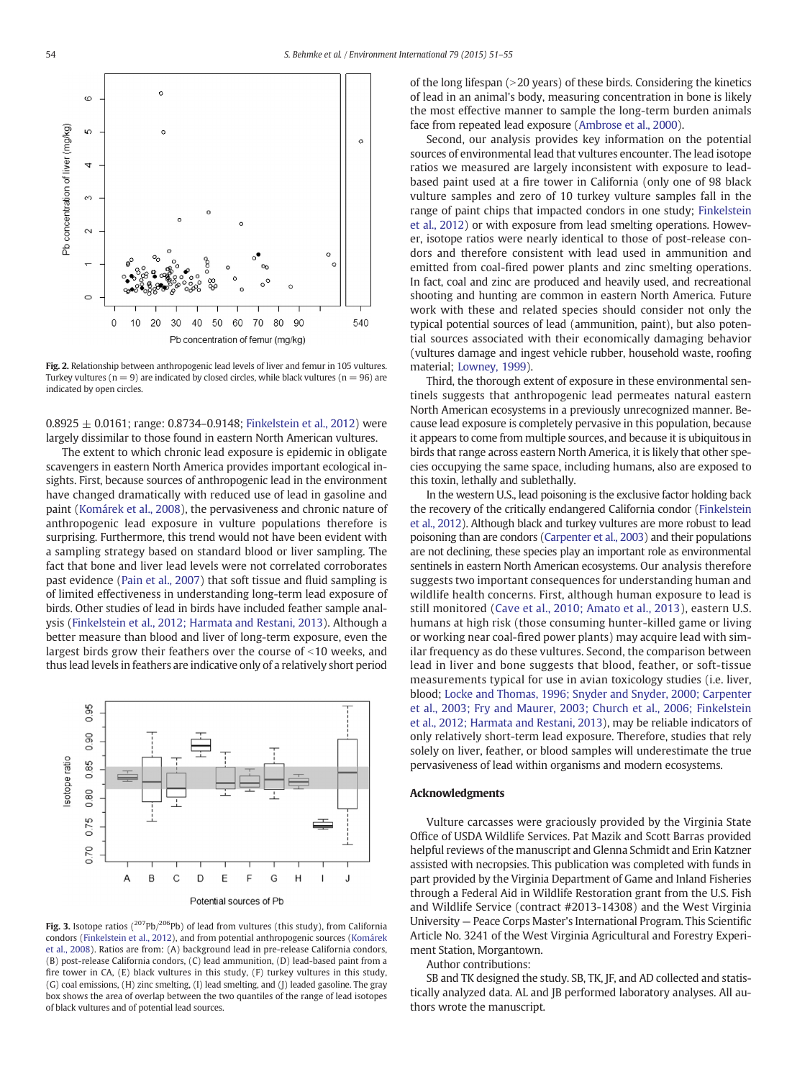<span id="page-3-0"></span>

Fig. 2. Relationship between anthropogenic lead levels of liver and femur in 105 vultures. Turkey vultures ( $n = 9$ ) are indicated by closed circles, while black vultures ( $n = 96$ ) are indicated by open circles.

 $0.8925 \pm 0.0161$ ; range: 0.8734–0.9148; [Finkelstein et al., 2012](#page-4-0)) were largely dissimilar to those found in eastern North American vultures.

The extent to which chronic lead exposure is epidemic in obligate scavengers in eastern North America provides important ecological insights. First, because sources of anthropogenic lead in the environment have changed dramatically with reduced use of lead in gasoline and paint [\(Komárek et al., 2008\)](#page-4-0), the pervasiveness and chronic nature of anthropogenic lead exposure in vulture populations therefore is surprising. Furthermore, this trend would not have been evident with a sampling strategy based on standard blood or liver sampling. The fact that bone and liver lead levels were not correlated corroborates past evidence [\(Pain et al., 2007](#page-4-0)) that soft tissue and fluid sampling is of limited effectiveness in understanding long-term lead exposure of birds. Other studies of lead in birds have included feather sample analysis [\(Finkelstein et al., 2012; Harmata and Restani, 2013](#page-4-0)). Although a better measure than blood and liver of long-term exposure, even the largest birds grow their feathers over the course of  $\leq$ 10 weeks, and thus lead levels in feathers are indicative only of a relatively short period



Fig. 3. Isotope ratios ( $^{207}Pb/^{206}Pb$ ) of lead from vultures (this study), from California condors [\(Finkelstein et al., 2012](#page-4-0)), and from potential anthropogenic sources ([Komárek](#page-4-0) [et al., 2008\)](#page-4-0). Ratios are from: (A) background lead in pre-release California condors, (B) post-release California condors, (C) lead ammunition, (D) lead-based paint from a fire tower in CA, (E) black vultures in this study, (F) turkey vultures in this study, (G) coal emissions, (H) zinc smelting, (I) lead smelting, and (J) leaded gasoline. The gray box shows the area of overlap between the two quantiles of the range of lead isotopes of black vultures and of potential lead sources.

of the long lifespan  $(>20$  years) of these birds. Considering the kinetics of lead in an animal's body, measuring concentration in bone is likely the most effective manner to sample the long-term burden animals face from repeated lead exposure ([Ambrose et al., 2000](#page-4-0)).

Second, our analysis provides key information on the potential sources of environmental lead that vultures encounter. The lead isotope ratios we measured are largely inconsistent with exposure to leadbased paint used at a fire tower in California (only one of 98 black vulture samples and zero of 10 turkey vulture samples fall in the range of paint chips that impacted condors in one study; [Finkelstein](#page-4-0) [et al., 2012](#page-4-0)) or with exposure from lead smelting operations. However, isotope ratios were nearly identical to those of post-release condors and therefore consistent with lead used in ammunition and emitted from coal-fired power plants and zinc smelting operations. In fact, coal and zinc are produced and heavily used, and recreational shooting and hunting are common in eastern North America. Future work with these and related species should consider not only the typical potential sources of lead (ammunition, paint), but also potential sources associated with their economically damaging behavior (vultures damage and ingest vehicle rubber, household waste, roofing material; [Lowney, 1999\)](#page-4-0).

Third, the thorough extent of exposure in these environmental sentinels suggests that anthropogenic lead permeates natural eastern North American ecosystems in a previously unrecognized manner. Because lead exposure is completely pervasive in this population, because it appears to come from multiple sources, and because it is ubiquitous in birds that range across eastern North America, it is likely that other species occupying the same space, including humans, also are exposed to this toxin, lethally and sublethally.

In the western U.S., lead poisoning is the exclusive factor holding back the recovery of the critically endangered California condor [\(Finkelstein](#page-4-0) [et al., 2012](#page-4-0)). Although black and turkey vultures are more robust to lead poisoning than are condors ([Carpenter et al., 2003\)](#page-4-0) and their populations are not declining, these species play an important role as environmental sentinels in eastern North American ecosystems. Our analysis therefore suggests two important consequences for understanding human and wildlife health concerns. First, although human exposure to lead is still monitored [\(Cave et al., 2010; Amato et al., 2013](#page-4-0)), eastern U.S. humans at high risk (those consuming hunter-killed game or living or working near coal-fired power plants) may acquire lead with similar frequency as do these vultures. Second, the comparison between lead in liver and bone suggests that blood, feather, or soft-tissue measurements typical for use in avian toxicology studies (i.e. liver, blood; [Locke and Thomas, 1996; Snyder and Snyder, 2000; Carpenter](#page-4-0) [et al., 2003; Fry and Maurer, 2003; Church et al., 2006; Finkelstein](#page-4-0) [et al., 2012; Harmata and Restani, 2013](#page-4-0)), may be reliable indicators of only relatively short-term lead exposure. Therefore, studies that rely solely on liver, feather, or blood samples will underestimate the true pervasiveness of lead within organisms and modern ecosystems.

#### Acknowledgments

Vulture carcasses were graciously provided by the Virginia State Office of USDA Wildlife Services. Pat Mazik and Scott Barras provided helpful reviews of the manuscript and Glenna Schmidt and Erin Katzner assisted with necropsies. This publication was completed with funds in part provided by the Virginia Department of Game and Inland Fisheries through a Federal Aid in Wildlife Restoration grant from the U.S. Fish and Wildlife Service (contract #2013-14308) and the West Virginia University — Peace Corps Master's International Program. This Scientific Article No. 3241 of the West Virginia Agricultural and Forestry Experiment Station, Morgantown.

Author contributions:

SB and TK designed the study. SB, TK, JF, and AD collected and statistically analyzed data. AL and JB performed laboratory analyses. All authors wrote the manuscript.